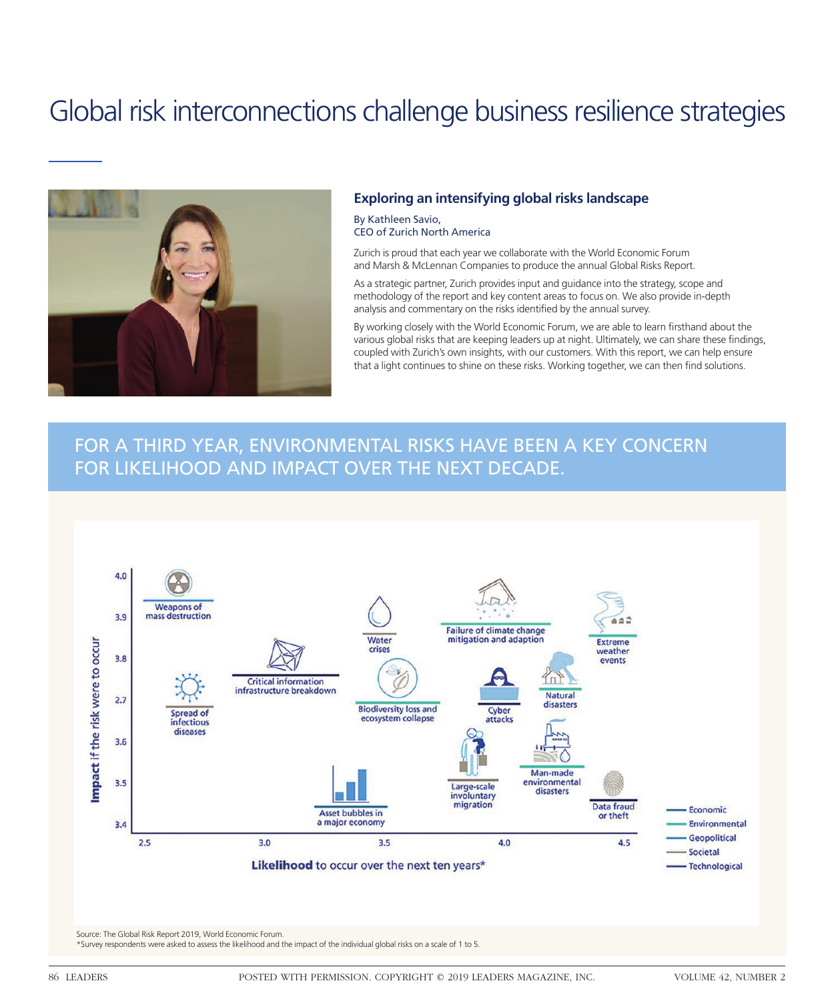## Global risk interconnections challenge business resilience strategies



#### **Exploring an intensifying global risks landscape**

By Kathleen Savio, CEO of Zurich North America

Zurich is proud that each year we collaborate with the World Economic Forum and Marsh & McLennan Companies to produce the annual Global Risks Report.

As a strategic partner, Zurich provides input and guidance into the strategy, scope and methodology of the report and key content areas to focus on. We also provide in-depth analysis and commentary on the risks identified by the annual survey.

By working closely with the World Economic Forum, we are able to learn firsthand about the various global risks that are keeping leaders up at night. Ultimately, we can share these findings, coupled with Zurich's own insights, with our customers. With this report, we can help ensure that a light continues to shine on these risks. Working together, we can then find solutions.

### FOR A THIRD YEAR, ENVIRONMENTAL RISKS HAVE BEEN A KEY CONCERN FOR LIKELIHOOD AND IMPACT OVER THE NEXT DECADE.

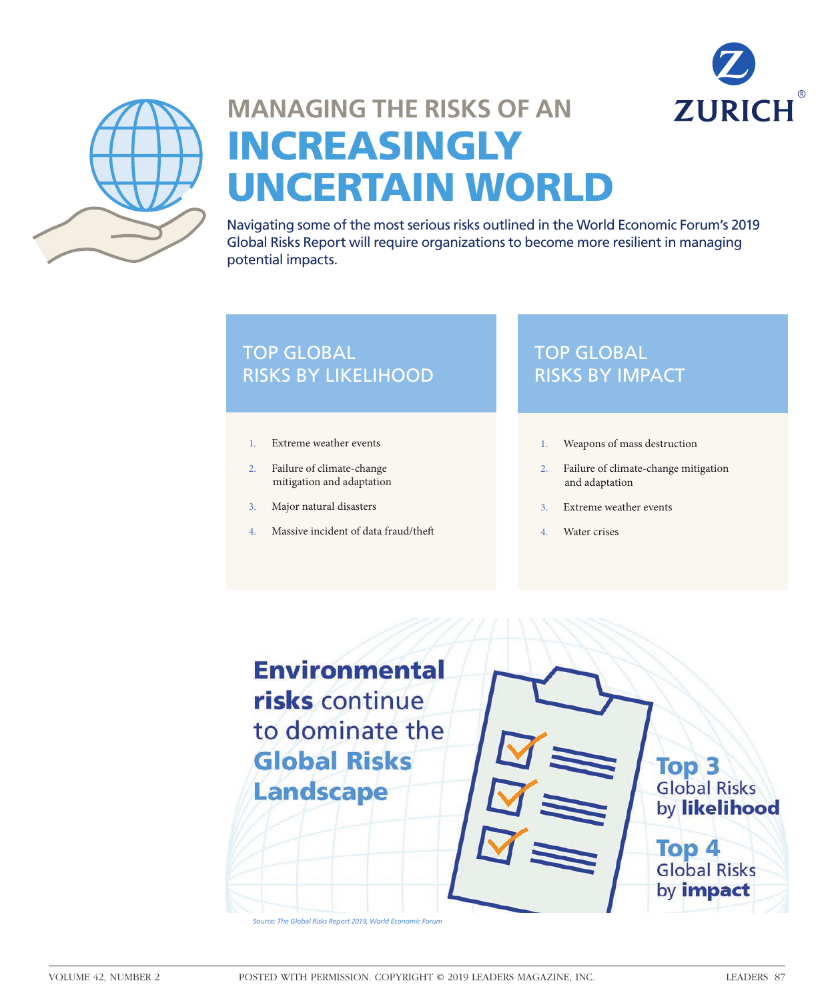



# **MANAGING THE RISKS OF AN**  INCREASINGLY UNCERTAIN WORLD

Navigating some of the most serious risks outlined in the World Economic Forum's 2019 Global Risks Report will require organizations to become more resilient in managing potential impacts.

### **TOP GLOBAL** RISKS BY LIKELIHOOD

- 1. Extreme weather events
- 2. Failure of climate-change mitigation and adaptation
- 3. Major natural disasters
- 4. Massive incident of data fraud/the

## TOP GLOBAL RISKS BY IMPACT

- 1. Weapons of mass destruction
- 2. Failure of climate-change mitigation and adaptation
- 3. Extreme weather events
- 4. Water crises

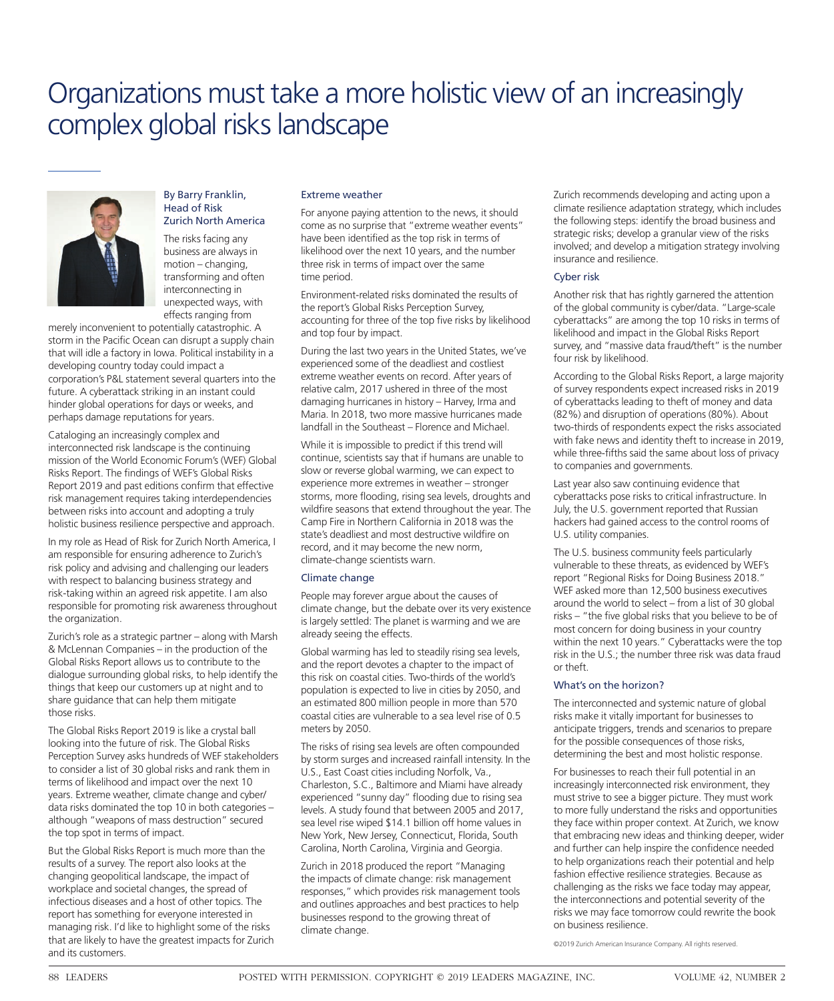## Organizations must take a more holistic view of an increasingly complex global risks landscape



#### By Barry Franklin, Head of Risk Zurich North America

The risks facing any business are always in motion – changing, transforming and often interconnecting in unexpected ways, with effects ranging from

merely inconvenient to potentially catastrophic. A storm in the Pacific Ocean can disrupt a supply chain that will idle a factory in Iowa. Political instability in a developing country today could impact a corporation's P&L statement several quarters into the future. A cyberattack striking in an instant could hinder global operations for days or weeks, and perhaps damage reputations for years.

Cataloging an increasingly complex and interconnected risk landscape is the continuing mission of the World Economic Forum's (WEF) Global Risks Report. The findings of WEF's Global Risks Report 2019 and past editions confirm that effective risk management requires taking interdependencies between risks into account and adopting a truly holistic business resilience perspective and approach.

In my role as Head of Risk for Zurich North America, I am responsible for ensuring adherence to Zurich's risk policy and advising and challenging our leaders with respect to balancing business strategy and risk-taking within an agreed risk appetite. I am also responsible for promoting risk awareness throughout the organization.

Zurich's role as a strategic partner – along with Marsh & McLennan Companies – in the production of the Global Risks Report allows us to contribute to the dialogue surrounding global risks, to help identify the things that keep our customers up at night and to share guidance that can help them mitigate those risks.

The Global Risks Report 2019 is like a crystal ball looking into the future of risk. The Global Risks Perception Survey asks hundreds of WEF stakeholders to consider a list of 30 global risks and rank them in terms of likelihood and impact over the next 10 years. Extreme weather, climate change and cyber/ data risks dominated the top 10 in both categories – although "weapons of mass destruction" secured the top spot in terms of impact.

But the Global Risks Report is much more than the results of a survey. The report also looks at the changing geopolitical landscape, the impact of workplace and societal changes, the spread of infectious diseases and a host of other topics. The report has something for everyone interested in managing risk. I'd like to highlight some of the risks that are likely to have the greatest impacts for Zurich and its customers.

#### Extreme weather

For anyone paying attention to the news, it should come as no surprise that "extreme weather events" have been identified as the top risk in terms of likelihood over the next 10 years, and the number three risk in terms of impact over the same time period.

Environment-related risks dominated the results of the report's Global Risks Perception Survey, accounting for three of the top five risks by likelihood and top four by impact.

During the last two years in the United States, we've experienced some of the deadliest and costliest extreme weather events on record. After years of relative calm, 2017 ushered in three of the most damaging hurricanes in history – Harvey, Irma and Maria. In 2018, two more massive hurricanes made landfall in the Southeast – Florence and Michael.

While it is impossible to predict if this trend will continue, scientists say that if humans are unable to slow or reverse global warming, we can expect to experience more extremes in weather – stronger storms, more flooding, rising sea levels, droughts and wildfire seasons that extend throughout the year. The Camp Fire in Northern California in 2018 was the state's deadliest and most destructive wildfire on record, and it may become the new norm, climate-change scientists warn.

#### Climate change

People may forever argue about the causes of climate change, but the debate over its very existence is largely settled: The planet is warming and we are already seeing the effects.

Global warming has led to steadily rising sea levels, and the report devotes a chapter to the impact of this risk on coastal cities. Two-thirds of the world's population is expected to live in cities by 2050, and an estimated 800 million people in more than 570 coastal cities are vulnerable to a sea level rise of 0.5 meters by 2050.

The risks of rising sea levels are often compounded by storm surges and increased rainfall intensity. In the U.S., East Coast cities including Norfolk, Va., Charleston, S.C., Baltimore and Miami have already experienced "sunny day" flooding due to rising sea levels. A study found that between 2005 and 2017, sea level rise wiped \$14.1 billion off home values in New York, New Jersey, Connecticut, Florida, South Carolina, North Carolina, Virginia and Georgia.

Zurich in 2018 produced the report "Managing the impacts of climate change: risk management responses," which provides risk management tools and outlines approaches and best practices to help businesses respond to the growing threat of climate change.

Zurich recommends developing and acting upon a climate resilience adaptation strategy, which includes the following steps: identify the broad business and strategic risks; develop a granular view of the risks involved; and develop a mitigation strategy involving insurance and resilience.

#### Cyber risk

Another risk that has rightly garnered the attention of the global community is cyber/data. "Large-scale cyberattacks" are among the top 10 risks in terms of likelihood and impact in the Global Risks Report survey, and "massive data fraud/theft" is the number four risk by likelihood.

According to the Global Risks Report, a large majority of survey respondents expect increased risks in 2019 of cyberattacks leading to theft of money and data (82%) and disruption of operations (80%). About two-thirds of respondents expect the risks associated with fake news and identity theft to increase in 2019, while three-fifths said the same about loss of privacy to companies and governments.

Last year also saw continuing evidence that cyberattacks pose risks to critical infrastructure. In July, the U.S. government reported that Russian hackers had gained access to the control rooms of U.S. utility companies.

nost concentron aoing saoiness in y sai within the next 10 years." Cyberattacks were the top The U.S. business community feels particularly vulnerable to these threats, as evidenced by WEF's report "Regional Risks for Doing Business 2018." WEF asked more than 12,500 business executives around the world to select – from a list of 30 global risks – "the five global risks that you believe to be of most concern for doing business in your country risk in the U.S.; the number three risk was data fraud or theft.

#### What's on the horizon?

The interconnected and systemic nature of global risks make it vitally important for businesses to anticipate triggers, trends and scenarios to prepare for the possible consequences of those risks, determining the best and most holistic response.

For businesses to reach their full potential in an increasingly interconnected risk environment, they must strive to see a bigger picture. They must work to more fully understand the risks and opportunities they face within proper context. At Zurich, we know that embracing new ideas and thinking deeper, wider and further can help inspire the confidence needed to help organizations reach their potential and help fashion effective resilience strategies. Because as challenging as the risks we face today may appear, the interconnections and potential severity of the risks we may face tomorrow could rewrite the book on business resilience.

©2019 Zurich American Insurance Company. All rights reserved.